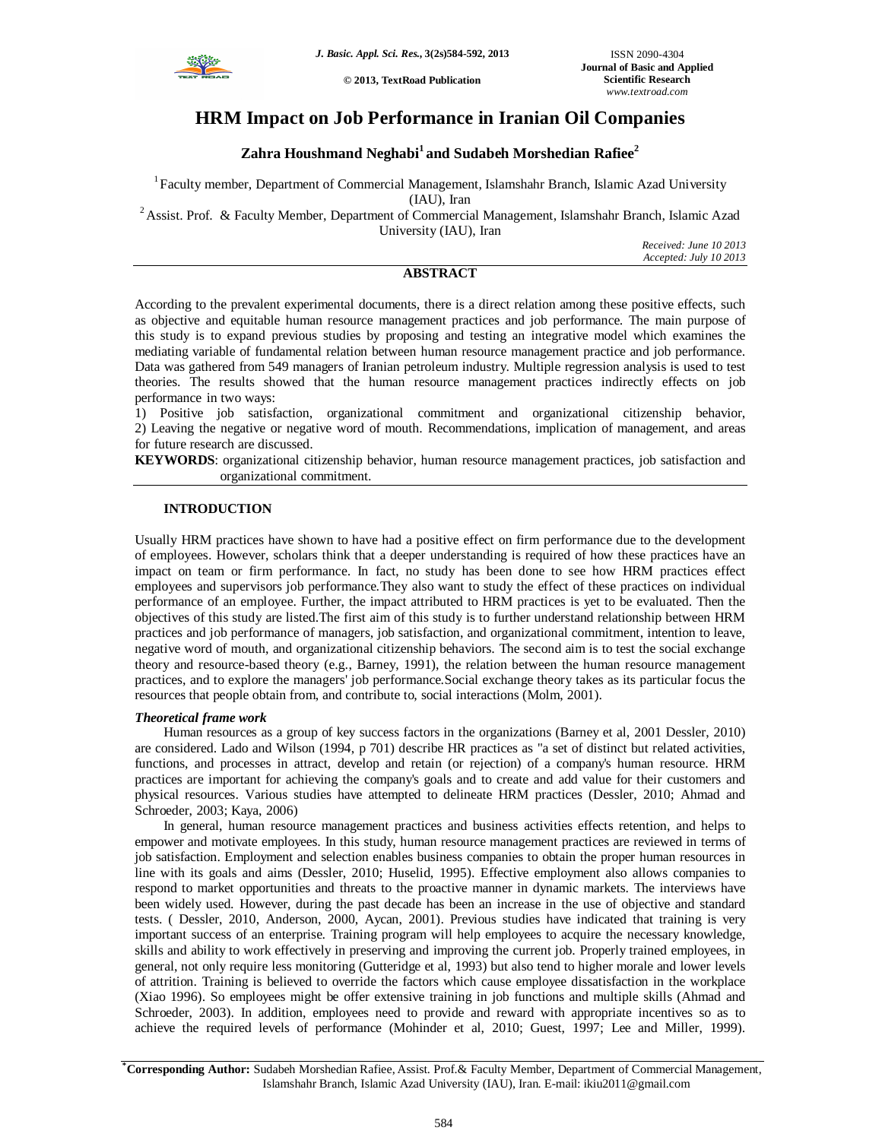

**© 2013, TextRoad Publication**

# **HRM Impact on Job Performance in Iranian Oil Companies**

# **Zahra Houshmand Neghabi<sup>1</sup>and Sudabeh Morshedian Rafiee<sup>2</sup>**

<sup>1</sup>Faculty member, Department of Commercial Management, Islamshahr Branch, Islamic Azad University (IAU), Iran

<sup>2</sup> Assist. Prof. & Faculty Member, Department of Commercial Management, Islamshahr Branch, Islamic Azad University (IAU), Iran

*Received: June 10 2013 Accepted: July 10 2013*

# **ABSTRACT**

According to the prevalent experimental documents, there is a direct relation among these positive effects, such as objective and equitable human resource management practices and job performance. The main purpose of this study is to expand previous studies by proposing and testing an integrative model which examines the mediating variable of fundamental relation between human resource management practice and job performance. Data was gathered from 549 managers of Iranian petroleum industry. Multiple regression analysis is used to test theories. The results showed that the human resource management practices indirectly effects on job performance in two ways:

1) Positive job satisfaction, organizational commitment and organizational citizenship behavior, 2) Leaving the negative or negative word of mouth. Recommendations, implication of management, and areas for future research are discussed.

**KEYWORDS**: organizational citizenship behavior, human resource management practices, job satisfaction and organizational commitment.

# **INTRODUCTION**

Usually HRM practices have shown to have had a positive effect on firm performance due to the development of employees. However, scholars think that a deeper understanding is required of how these practices have an impact on team or firm performance. In fact, no study has been done to see how HRM practices effect employees and supervisors job performance.They also want to study the effect of these practices on individual performance of an employee. Further, the impact attributed to HRM practices is yet to be evaluated. Then the objectives of this study are listed.The first aim of this study is to further understand relationship between HRM practices and job performance of managers, job satisfaction, and organizational commitment, intention to leave, negative word of mouth, and organizational citizenship behaviors. The second aim is to test the social exchange theory and resource-based theory (e.g., Barney, 1991), the relation between the human resource management practices, and to explore the managers' job performance.Social exchange theory takes as its particular focus the resources that people obtain from, and contribute to, social interactions (Molm, 2001).

# *Theoretical frame work*

Human resources as a group of key success factors in the organizations (Barney et al, 2001 Dessler, 2010) are considered. Lado and Wilson (1994, p 701) describe HR practices as "a set of distinct but related activities, functions, and processes in attract, develop and retain (or rejection) of a company's human resource. HRM practices are important for achieving the company's goals and to create and add value for their customers and physical resources. Various studies have attempted to delineate HRM practices (Dessler, 2010; Ahmad and Schroeder, 2003; Kaya, 2006)

In general, human resource management practices and business activities effects retention, and helps to empower and motivate employees. In this study, human resource management practices are reviewed in terms of job satisfaction. Employment and selection enables business companies to obtain the proper human resources in line with its goals and aims (Dessler, 2010; Huselid, 1995). Effective employment also allows companies to respond to market opportunities and threats to the proactive manner in dynamic markets. The interviews have been widely used. However, during the past decade has been an increase in the use of objective and standard tests. ( Dessler, 2010, Anderson, 2000, Aycan, 2001). Previous studies have indicated that training is very important success of an enterprise. Training program will help employees to acquire the necessary knowledge, skills and ability to work effectively in preserving and improving the current job. Properly trained employees, in general, not only require less monitoring (Gutteridge et al, 1993) but also tend to higher morale and lower levels of attrition. Training is believed to override the factors which cause employee dissatisfaction in the workplace (Xiao 1996). So employees might be offer extensive training in job functions and multiple skills (Ahmad and Schroeder, 2003). In addition, employees need to provide and reward with appropriate incentives so as to achieve the required levels of performance (Mohinder et al, 2010; Guest, 1997; Lee and Miller, 1999).

**\*Corresponding Author:** Sudabeh Morshedian Rafiee, Assist. Prof.& Faculty Member, Department of Commercial Management, Islamshahr Branch, Islamic Azad University (IAU), Iran. E-mail: ikiu2011@gmail.com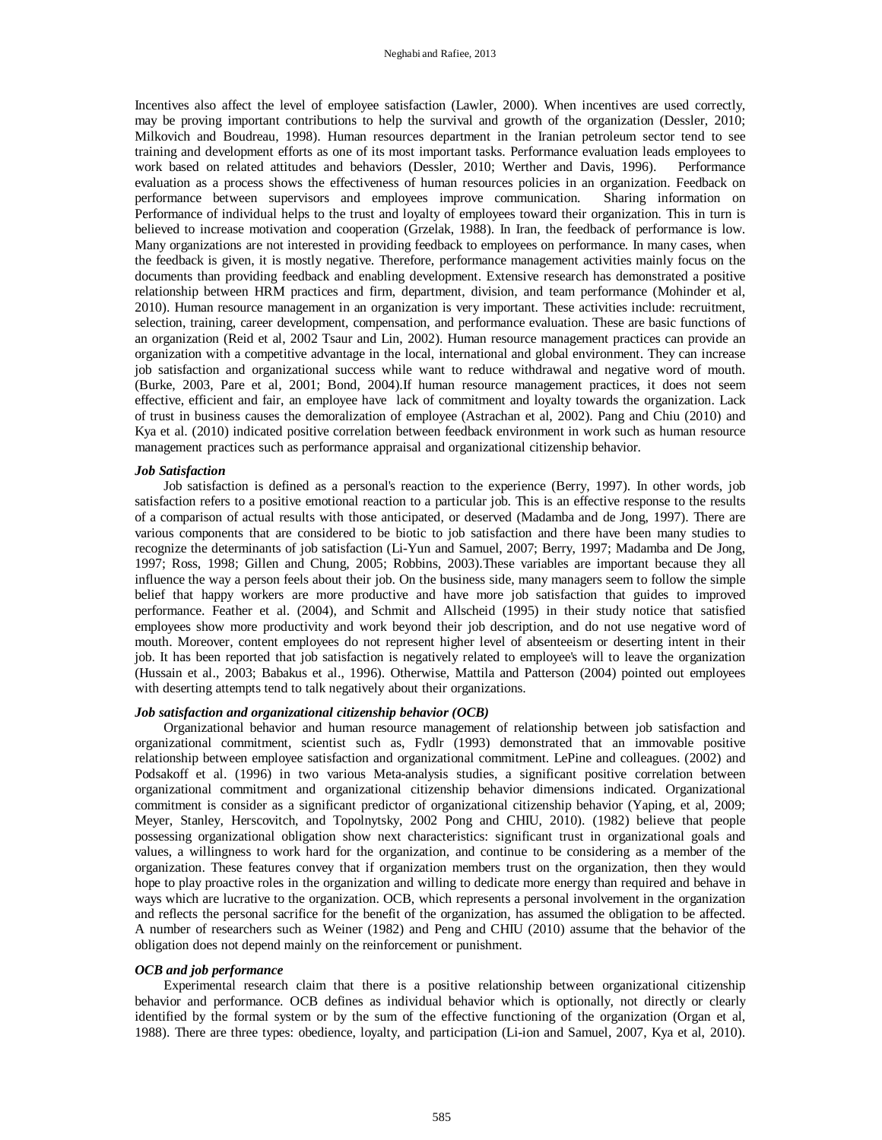Incentives also affect the level of employee satisfaction (Lawler, 2000). When incentives are used correctly, may be proving important contributions to help the survival and growth of the organization (Dessler, 2010; Milkovich and Boudreau, 1998). Human resources department in the Iranian petroleum sector tend to see training and development efforts as one of its most important tasks. Performance evaluation leads employees to work based on related attitudes and behaviors (Dessler, 2010; Werther and Davis, 1996). Performance evaluation as a process shows the effectiveness of human resources policies in an organization. Feedback on performance between supervisors and employees improve communication. Sharing information on Performance of individual helps to the trust and loyalty of employees toward their organization. This in turn is believed to increase motivation and cooperation (Grzelak, 1988). In Iran, the feedback of performance is low. Many organizations are not interested in providing feedback to employees on performance. In many cases, when the feedback is given, it is mostly negative. Therefore, performance management activities mainly focus on the documents than providing feedback and enabling development. Extensive research has demonstrated a positive relationship between HRM practices and firm, department, division, and team performance (Mohinder et al, 2010). Human resource management in an organization is very important. These activities include: recruitment, selection, training, career development, compensation, and performance evaluation. These are basic functions of an organization (Reid et al, 2002 Tsaur and Lin, 2002). Human resource management practices can provide an organization with a competitive advantage in the local, international and global environment. They can increase job satisfaction and organizational success while want to reduce withdrawal and negative word of mouth. (Burke, 2003, Pare et al, 2001; Bond, 2004).If human resource management practices, it does not seem effective, efficient and fair, an employee have lack of commitment and loyalty towards the organization. Lack of trust in business causes the demoralization of employee (Astrachan et al, 2002). Pang and Chiu (2010) and Kya et al. (2010) indicated positive correlation between feedback environment in work such as human resource management practices such as performance appraisal and organizational citizenship behavior.

#### *Job Satisfaction*

Job satisfaction is defined as a personal's reaction to the experience (Berry, 1997). In other words, job satisfaction refers to a positive emotional reaction to a particular job. This is an effective response to the results of a comparison of actual results with those anticipated, or deserved (Madamba and de Jong, 1997). There are various components that are considered to be biotic to job satisfaction and there have been many studies to recognize the determinants of job satisfaction (Li-Yun and Samuel, 2007; Berry, 1997; Madamba and De Jong, 1997; Ross, 1998; Gillen and Chung, 2005; Robbins, 2003).These variables are important because they all influence the way a person feels about their job. On the business side, many managers seem to follow the simple belief that happy workers are more productive and have more job satisfaction that guides to improved performance. Feather et al. (2004), and Schmit and Allscheid (1995) in their study notice that satisfied employees show more productivity and work beyond their job description, and do not use negative word of mouth. Moreover, content employees do not represent higher level of absenteeism or deserting intent in their job. It has been reported that job satisfaction is negatively related to employee's will to leave the organization (Hussain et al., 2003; Babakus et al., 1996). Otherwise, Mattila and Patterson (2004) pointed out employees with deserting attempts tend to talk negatively about their organizations.

### *Job satisfaction and organizational citizenship behavior (OCB)*

Organizational behavior and human resource management of relationship between job satisfaction and organizational commitment, scientist such as, Fydlr (1993) demonstrated that an immovable positive relationship between employee satisfaction and organizational commitment. LePine and colleagues. (2002) and Podsakoff et al. (1996) in two various Meta-analysis studies, a significant positive correlation between organizational commitment and organizational citizenship behavior dimensions indicated. Organizational commitment is consider as a significant predictor of organizational citizenship behavior (Yaping, et al, 2009; Meyer, Stanley, Herscovitch, and Topolnytsky, 2002 Pong and CHIU, 2010). (1982) believe that people possessing organizational obligation show next characteristics: significant trust in organizational goals and values, a willingness to work hard for the organization, and continue to be considering as a member of the organization. These features convey that if organization members trust on the organization, then they would hope to play proactive roles in the organization and willing to dedicate more energy than required and behave in ways which are lucrative to the organization. OCB, which represents a personal involvement in the organization and reflects the personal sacrifice for the benefit of the organization, has assumed the obligation to be affected. A number of researchers such as Weiner (1982) and Peng and CHIU (2010) assume that the behavior of the obligation does not depend mainly on the reinforcement or punishment.

#### *OCB and job performance*

Experimental research claim that there is a positive relationship between organizational citizenship behavior and performance. OCB defines as individual behavior which is optionally, not directly or clearly identified by the formal system or by the sum of the effective functioning of the organization (Organ et al, 1988). There are three types: obedience, loyalty, and participation (Li-ion and Samuel, 2007, Kya et al, 2010).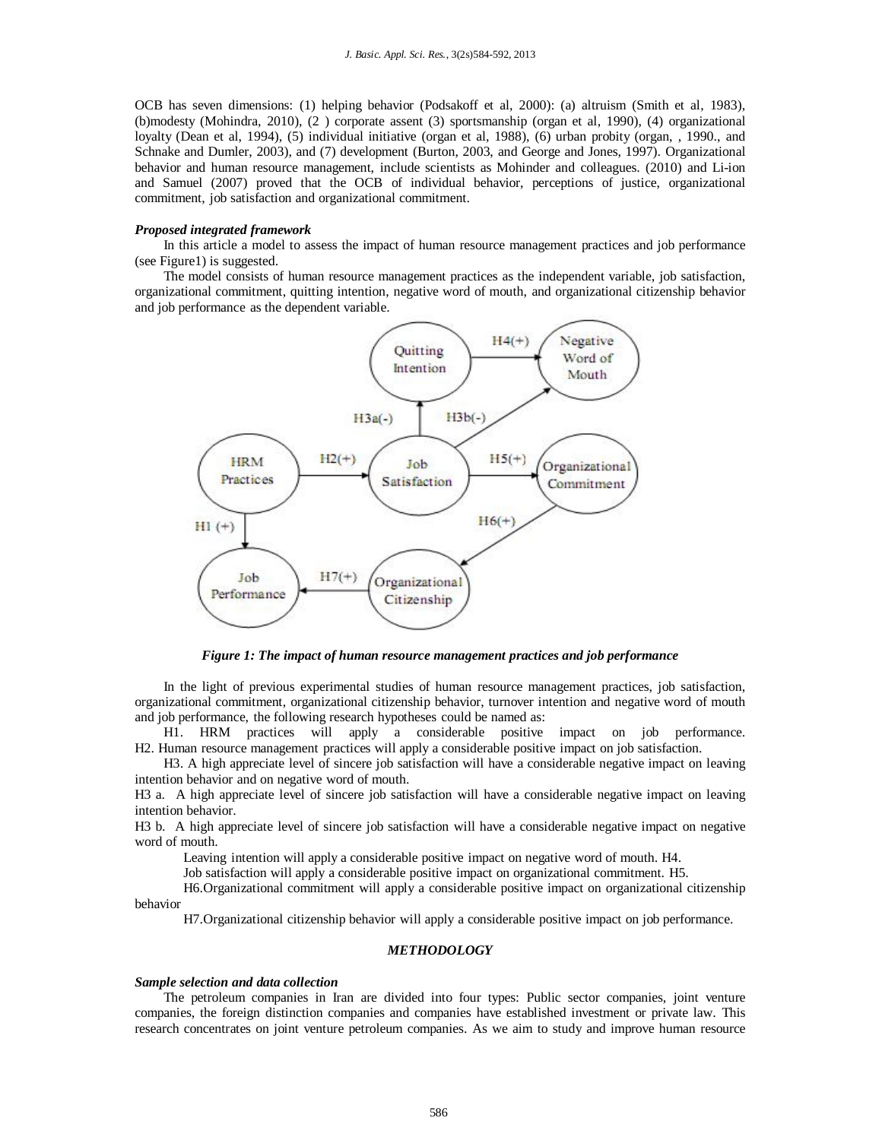OCB has seven dimensions: (1) helping behavior (Podsakoff et al, 2000): (a) altruism (Smith et al, 1983), (b)modesty (Mohindra, 2010), (2 ) corporate assent (3) sportsmanship (organ et al, 1990), (4) organizational loyalty (Dean et al, 1994), (5) individual initiative (organ et al, 1988), (6) urban probity (organ, , 1990., and Schnake and Dumler, 2003), and (7) development (Burton, 2003, and George and Jones, 1997). Organizational behavior and human resource management, include scientists as Mohinder and colleagues. (2010) and Li-ion and Samuel (2007) proved that the OCB of individual behavior, perceptions of justice, organizational commitment, job satisfaction and organizational commitment.

# *Proposed integrated framework*

In this article a model to assess the impact of human resource management practices and job performance (see Figure1) is suggested.

The model consists of human resource management practices as the independent variable, job satisfaction, organizational commitment, quitting intention, negative word of mouth, and organizational citizenship behavior and job performance as the dependent variable.



*Figure 1: The impact of human resource management practices and job performance*

In the light of previous experimental studies of human resource management practices, job satisfaction, organizational commitment, organizational citizenship behavior, turnover intention and negative word of mouth and job performance, the following research hypotheses could be named as:

H1. HRM practices will apply a considerable positive impact on job performance. H2. Human resource management practices will apply a considerable positive impact on job satisfaction.

H3. A high appreciate level of sincere job satisfaction will have a considerable negative impact on leaving intention behavior and on negative word of mouth.

H3 a. A high appreciate level of sincere job satisfaction will have a considerable negative impact on leaving intention behavior.

H3 b. A high appreciate level of sincere job satisfaction will have a considerable negative impact on negative word of mouth.

Leaving intention will apply a considerable positive impact on negative word of mouth. H4.

Job satisfaction will apply a considerable positive impact on organizational commitment. H5.

H6.Organizational commitment will apply a considerable positive impact on organizational citizenship behavior

H7.Organizational citizenship behavior will apply a considerable positive impact on job performance.

# *METHODOLOGY*

#### *Sample selection and data collection*

The petroleum companies in Iran are divided into four types: Public sector companies, joint venture companies, the foreign distinction companies and companies have established investment or private law. This research concentrates on joint venture petroleum companies. As we aim to study and improve human resource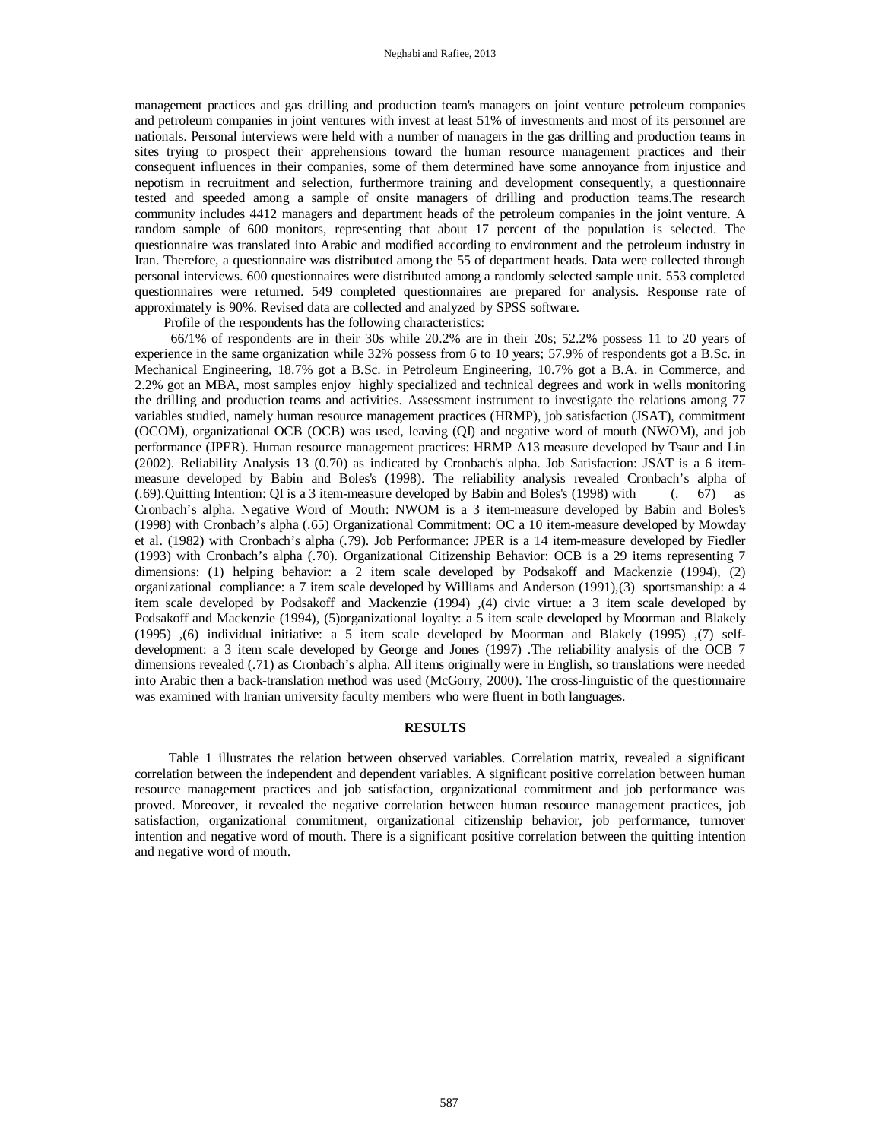management practices and gas drilling and production team's managers on joint venture petroleum companies and petroleum companies in joint ventures with invest at least 51% of investments and most of its personnel are nationals. Personal interviews were held with a number of managers in the gas drilling and production teams in sites trying to prospect their apprehensions toward the human resource management practices and their consequent influences in their companies, some of them determined have some annoyance from injustice and nepotism in recruitment and selection, furthermore training and development consequently, a questionnaire tested and speeded among a sample of onsite managers of drilling and production teams.The research community includes 4412 managers and department heads of the petroleum companies in the joint venture. A random sample of 600 monitors, representing that about 17 percent of the population is selected. The questionnaire was translated into Arabic and modified according to environment and the petroleum industry in Iran. Therefore, a questionnaire was distributed among the 55 of department heads. Data were collected through personal interviews. 600 questionnaires were distributed among a randomly selected sample unit. 553 completed questionnaires were returned. 549 completed questionnaires are prepared for analysis. Response rate of approximately is 90%. Revised data are collected and analyzed by SPSS software.

Profile of the respondents has the following characteristics:

66/1% of respondents are in their 30s while 20.2% are in their 20s; 52.2% possess 11 to 20 years of experience in the same organization while 32% possess from 6 to 10 years; 57.9% of respondents got a B.Sc. in Mechanical Engineering, 18.7% got a B.Sc. in Petroleum Engineering, 10.7% got a B.A. in Commerce, and 2.2% got an MBA, most samples enjoy highly specialized and technical degrees and work in wells monitoring the drilling and production teams and activities. Assessment instrument to investigate the relations among 77 variables studied, namely human resource management practices (HRMP), job satisfaction (JSAT), commitment (OCOM), organizational OCB (OCB) was used, leaving (QI) and negative word of mouth (NWOM), and job performance (JPER). Human resource management practices: HRMP A13 measure developed by Tsaur and Lin (2002). Reliability Analysis 13 (0.70) as indicated by Cronbach's alpha. Job Satisfaction: JSAT is a 6 itemmeasure developed by Babin and Boles's (1998). The reliability analysis revealed Cronbach's alpha of (.69). Quitting Intention: QI is a 3 item-measure developed by Babin and Boles's (1998) with (. 67) as (.69).Quitting Intention: QI is a 3 item-measure developed by Babin and Boles's (1998) with (. 67) as Cronbach's alpha. Negative Word of Mouth: NWOM is a 3 item-measure developed by Babin and Boles's (1998) with Cronbach's alpha (.65) Organizational Commitment: OC a 10 item-measure developed by Mowday et al. (1982) with Cronbach's alpha (.79). Job Performance: JPER is a 14 item-measure developed by Fiedler (1993) with Cronbach's alpha (.70). Organizational Citizenship Behavior: OCB is a 29 items representing 7 dimensions: (1) helping behavior: a 2 item scale developed by Podsakoff and Mackenzie (1994), (2) organizational compliance: a 7 item scale developed by Williams and Anderson (1991),(3) sportsmanship: a 4 item scale developed by Podsakoff and Mackenzie (1994) ,(4) civic virtue: a 3 item scale developed by Podsakoff and Mackenzie (1994), (5)organizational loyalty: a 5 item scale developed by Moorman and Blakely (1995) ,(6) individual initiative: a 5 item scale developed by Moorman and Blakely (1995) ,(7) selfdevelopment: a 3 item scale developed by George and Jones (1997) .The reliability analysis of the OCB 7 dimensions revealed (.71) as Cronbach's alpha. All items originally were in English, so translations were needed into Arabic then a back-translation method was used (McGorry, 2000). The cross-linguistic of the questionnaire was examined with Iranian university faculty members who were fluent in both languages.

# **RESULTS**

 Table 1 illustrates the relation between observed variables. Correlation matrix, revealed a significant correlation between the independent and dependent variables. A significant positive correlation between human resource management practices and job satisfaction, organizational commitment and job performance was proved. Moreover, it revealed the negative correlation between human resource management practices, job satisfaction, organizational commitment, organizational citizenship behavior, job performance, turnover intention and negative word of mouth. There is a significant positive correlation between the quitting intention and negative word of mouth.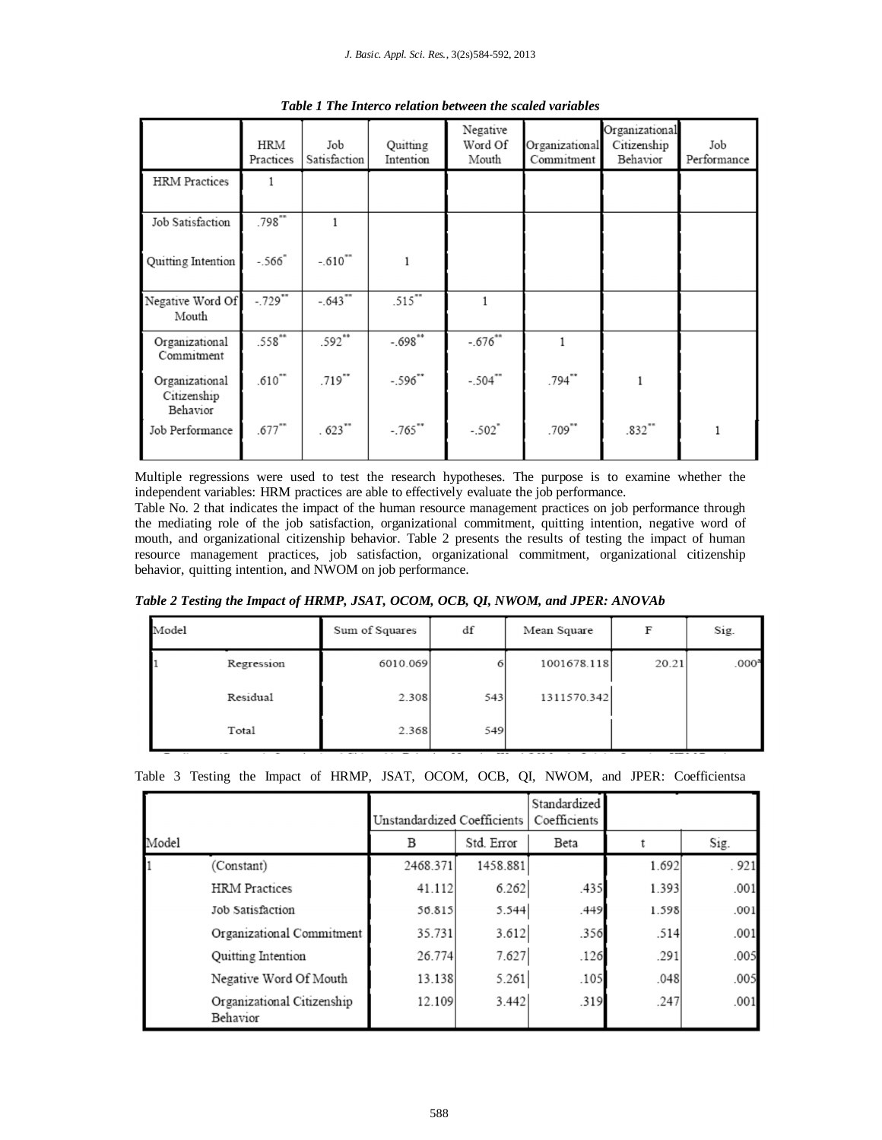|                                           | HRM<br>Practices     | Job<br>Satisfaction   | Quitting<br>Intention | Negative<br>Word Of<br>Mouth | Organizational<br>Commitment | Organizational<br>Citizenship<br>Behavior | Job<br>Performance |
|-------------------------------------------|----------------------|-----------------------|-----------------------|------------------------------|------------------------------|-------------------------------------------|--------------------|
| <b>HRM</b> Practices                      | 1                    |                       |                       |                              |                              |                                           |                    |
| Job Satisfaction                          | .798                 | 1                     |                       |                              |                              |                                           |                    |
| Quitting Intention                        | $-.566"$             | $-.610^{***}$         | $\mathbf{1}$          |                              |                              |                                           |                    |
| Negative Word Of<br>Mouth                 | $-729$ **            | $-.643$ <sup>**</sup> | $.515$ **             | 1                            |                              |                                           |                    |
| Organizational<br>Commitment              | $.558***$            | $.592**$              | $-.698**$             | $-.676^{**}$                 |                              |                                           |                    |
| Organizational<br>Citizenship<br>Behavior | $.610$ <sup>**</sup> | $.719$ **             | $-.596"$              | $-.504$ "                    | $.794$ **                    | 1                                         |                    |
| Job Performance                           | $.677***$            | $.623$ **             | $-.765$ **            | $-.502"$                     | $.709$ **                    | .832'''                                   |                    |

*Table 1 The Interco relation between the scaled variables*

Multiple regressions were used to test the research hypotheses. The purpose is to examine whether the independent variables: HRM practices are able to effectively evaluate the job performance.

Table No. 2 that indicates the impact of the human resource management practices on job performance through the mediating role of the job satisfaction, organizational commitment, quitting intention, negative word of mouth, and organizational citizenship behavior. Table 2 presents the results of testing the impact of human resource management practices, job satisfaction, organizational commitment, organizational citizenship behavior, quitting intention, and NWOM on job performance.

*Table 2 Testing the Impact of HRMP, JSAT, OCOM, OCB, QI, NWOM, and JPER: ANOVAb*

| Model |            | Sum of Squares | df  | Mean Square | F     | Sig.              |
|-------|------------|----------------|-----|-------------|-------|-------------------|
|       | Regression | 6010.069       | 6   | 1001678.118 | 20.21 | .000 <sup>3</sup> |
|       | Residual   | 2.308          | 543 | 1311570.342 |       |                   |
|       | Total      | 2.368          | 549 |             |       |                   |

|       |                                        | Unstandardized Coefficients |          | Standardized<br>Coefficients |       |      |  |
|-------|----------------------------------------|-----------------------------|----------|------------------------------|-------|------|--|
| Model |                                        | Std. Error<br>B             |          | Beta                         |       | Sig. |  |
|       | (Constant)                             | 2468.371                    | 1458.881 |                              | 1.692 | .921 |  |
|       | <b>HRM</b> Practices                   | 41.112                      | 6.262    | .435                         | 1.393 | .001 |  |
|       | Job Satisfaction                       | 56.815                      | 5.544    | .449                         | 1.598 | .001 |  |
|       | Organizational Commitment              | 35.731                      | 3.612    | .356                         | .514  | .001 |  |
|       | <b>Ouitting Intention</b>              | 26.774                      | 7.627    | .126                         | .291  | .005 |  |
|       | Negative Word Of Mouth                 | 13.138                      | 5.261    | .105                         | .048  | .005 |  |
|       | Organizational Citizenship<br>Behavior | 12.109                      | 3.442    | .319                         | .247  | .001 |  |

|  |  |  |  |  |  |  |  |  |  |  |  |  |  | Table 3 Testing the Impact of HRMP, JSAT, OCOM, OCB, QI, NWOM, and JPER: Coefficientsa |
|--|--|--|--|--|--|--|--|--|--|--|--|--|--|----------------------------------------------------------------------------------------|
|--|--|--|--|--|--|--|--|--|--|--|--|--|--|----------------------------------------------------------------------------------------|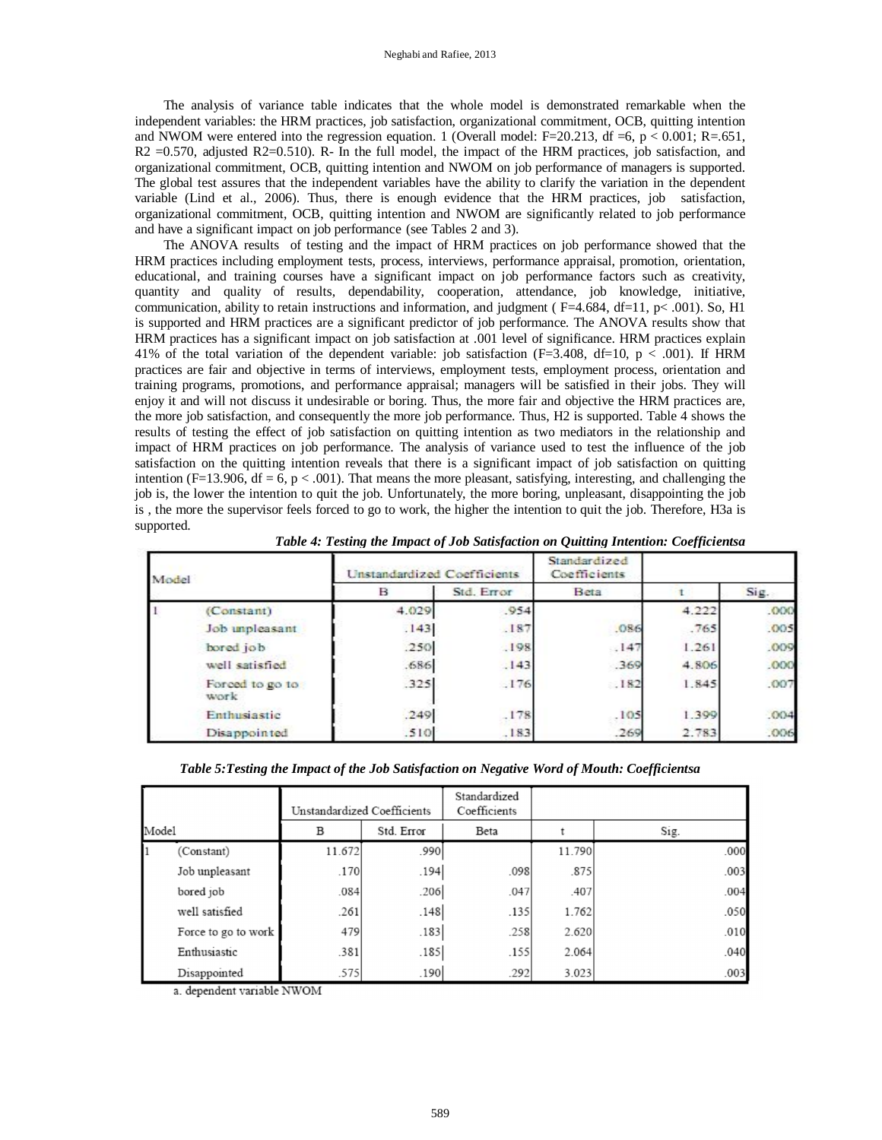The analysis of variance table indicates that the whole model is demonstrated remarkable when the independent variables: the HRM practices, job satisfaction, organizational commitment, OCB, quitting intention and NWOM were entered into the regression equation. 1 (Overall model: F=20.213, df =6, p < 0.001; R=.651,  $R2 = 0.570$ , adjusted  $R2 = 0.510$ ). R- In the full model, the impact of the HRM practices, job satisfaction, and organizational commitment, OCB, quitting intention and NWOM on job performance of managers is supported. The global test assures that the independent variables have the ability to clarify the variation in the dependent variable (Lind et al., 2006). Thus, there is enough evidence that the HRM practices, job satisfaction, organizational commitment, OCB, quitting intention and NWOM are significantly related to job performance and have a significant impact on job performance (see Tables 2 and 3).

The ANOVA results of testing and the impact of HRM practices on job performance showed that the HRM practices including employment tests, process, interviews, performance appraisal, promotion, orientation, educational, and training courses have a significant impact on job performance factors such as creativity, quantity and quality of results, dependability, cooperation, attendance, job knowledge, initiative, communication, ability to retain instructions and information, and judgment ( $F=4.684$ ,  $df=11$ ,  $p< .001$ ). So, H1 is supported and HRM practices are a significant predictor of job performance. The ANOVA results show that HRM practices has a significant impact on job satisfaction at .001 level of significance. HRM practices explain 41% of the total variation of the dependent variable: job satisfaction (F=3.408, df=10, p < .001). If HRM practices are fair and objective in terms of interviews, employment tests, employment process, orientation and training programs, promotions, and performance appraisal; managers will be satisfied in their jobs. They will enjoy it and will not discuss it undesirable or boring. Thus, the more fair and objective the HRM practices are, the more job satisfaction, and consequently the more job performance. Thus, H2 is supported. Table 4 shows the results of testing the effect of job satisfaction on quitting intention as two mediators in the relationship and impact of HRM practices on job performance. The analysis of variance used to test the influence of the job satisfaction on the quitting intention reveals that there is a significant impact of job satisfaction on quitting intention (F=13.906, df = 6, p < .001). That means the more pleasant, satisfying, interesting, and challenging the job is, the lower the intention to quit the job. Unfortunately, the more boring, unpleasant, disappointing the job is , the more the supervisor feels forced to go to work, the higher the intention to quit the job. Therefore, H3a is supported.

| Model |                         | Unstandardized Coefficients |            | Standardized<br>Coefficients |       |      |
|-------|-------------------------|-----------------------------|------------|------------------------------|-------|------|
|       |                         | в                           | Std. Error | Beta                         |       | Sig. |
|       | (Constant)              | 4.029                       | .954       |                              | 4.222 | .000 |
|       | Job unpleasant          | .143                        | .187       | .086                         | .765  | .005 |
|       | bored job               | .250                        | .198       | .147                         | 1.261 | .009 |
|       | well satisfied          | .686                        | .143       | .369                         | 4.806 | .000 |
|       | Forced to go to<br>work | .325                        | .176       | .182                         | 1.845 | .007 |
|       | Enthusiastic            | .249                        | .178       | .105                         | 1.399 | .004 |
|       | Disappointed            | .510                        | .183       | .269                         | 2.783 | .006 |

*Table 4: Testing the Impact of Job Satisfaction on Quitting Intention: Coefficientsa*

*Table 5:Testing the Impact of the Job Satisfaction on Negative Word of Mouth: Coefficientsa*

|       |                     | Unstandardized Coefficients |            | Standardized<br>Coefficients |        |      |
|-------|---------------------|-----------------------------|------------|------------------------------|--------|------|
| Model |                     | B                           | Std. Error | Beta                         |        | Sig. |
|       | (Constant)          | 11.672                      | .990       |                              | 11.790 | .000 |
|       | Job unpleasant      | .170                        | .194       | .098                         | .875   | .003 |
|       | bored job           | .084                        | .206       | .047                         | .407   | .004 |
|       | well satisfied      | .261                        | .148       | .135                         | 1.762  | .050 |
|       | Force to go to work | 479                         | .183       | .258                         | 2.620  | .010 |
|       | Enthusiastic        | .381                        | .185       | .155                         | 2.064  | .040 |
|       | Disappointed        | .575                        | .190       | .292                         | 3.023  | .003 |

a. dependent variable NWOM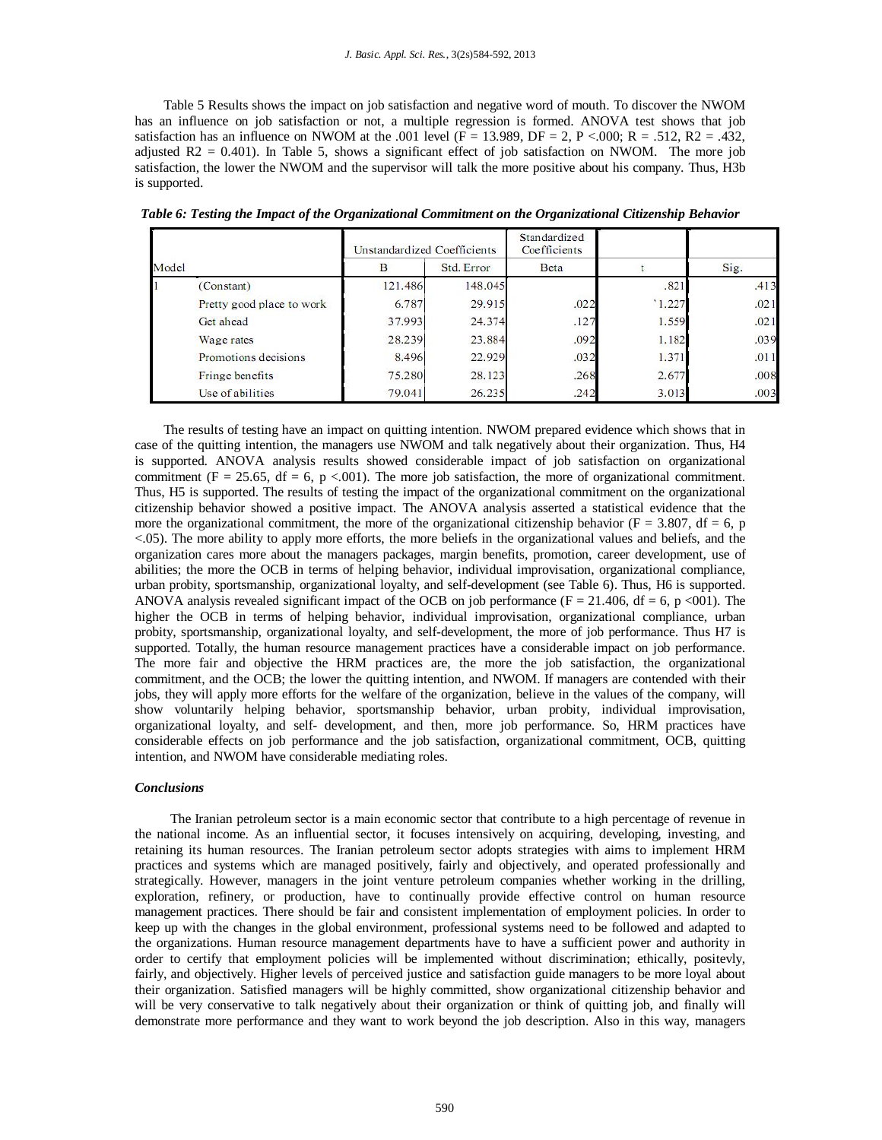Table 5 Results shows the impact on job satisfaction and negative word of mouth. To discover the NWOM has an influence on job satisfaction or not, a multiple regression is formed. ANOVA test shows that job satisfaction has an influence on NWOM at the .001 level ( $F = 13.989$ ,  $DF = 2$ , P <.000; R = .512, R2 = .432, adjusted  $R2 = 0.401$ ). In Table 5, shows a significant effect of job satisfaction on NWOM. The more job satisfaction, the lower the NWOM and the supervisor will talk the more positive about his company. Thus, H3b is supported.

|       |                           | Unstandardized Coefficients |         | Standardized<br>Coefficients |       |      |
|-------|---------------------------|-----------------------------|---------|------------------------------|-------|------|
| Model |                           | Std. Error<br>В             |         | <b>Beta</b>                  |       | Sig. |
|       | (Constant)                | 121.486                     | 148,045 |                              | .821  | .413 |
|       | Pretty good place to work | 6.787                       | 29.915  | .022                         | 1.227 | .021 |
|       | Get ahead                 | 37.993                      | 24.374  | .127                         | 1.559 | .021 |
|       | Wage rates                | 28.239                      | 23.884  | .092                         | 1.182 | .039 |
|       | Promotions decisions      | 8.496                       | 22.929  | .032                         | 1.371 | .011 |
|       | Fringe benefits           | 75.280                      | 28.123  | .268                         | 2.677 | .008 |
|       | Use of abilities          | 79.041                      | 26.235  | .242                         | 3.013 | .003 |

*Table 6: Testing the Impact of the Organizational Commitment on the Organizational Citizenship Behavior*

The results of testing have an impact on quitting intention. NWOM prepared evidence which shows that in case of the quitting intention, the managers use NWOM and talk negatively about their organization. Thus, H4 is supported. ANOVA analysis results showed considerable impact of job satisfaction on organizational commitment (F = 25.65, df = 6, p < 001). The more job satisfaction, the more of organizational commitment. Thus, H5 is supported. The results of testing the impact of the organizational commitment on the organizational citizenship behavior showed a positive impact. The ANOVA analysis asserted a statistical evidence that the more the organizational commitment, the more of the organizational citizenship behavior ( $F = 3.807$ , df = 6, p <.05). The more ability to apply more efforts, the more beliefs in the organizational values and beliefs, and the organization cares more about the managers packages, margin benefits, promotion, career development, use of abilities; the more the OCB in terms of helping behavior, individual improvisation, organizational compliance, urban probity, sportsmanship, organizational loyalty, and self-development (see Table 6). Thus, H6 is supported. ANOVA analysis revealed significant impact of the OCB on job performance ( $F = 21.406$ ,  $df = 6$ ,  $p \le 001$ ). The higher the OCB in terms of helping behavior, individual improvisation, organizational compliance, urban probity, sportsmanship, organizational loyalty, and self-development, the more of job performance. Thus H7 is supported. Totally, the human resource management practices have a considerable impact on job performance. The more fair and objective the HRM practices are, the more the job satisfaction, the organizational commitment, and the OCB; the lower the quitting intention, and NWOM. If managers are contended with their jobs, they will apply more efforts for the welfare of the organization, believe in the values of the company, will show voluntarily helping behavior, sportsmanship behavior, urban probity, individual improvisation, organizational loyalty, and self- development, and then, more job performance. So, HRM practices have considerable effects on job performance and the job satisfaction, organizational commitment, OCB, quitting intention, and NWOM have considerable mediating roles.

# *Conclusions*

 The Iranian petroleum sector is a main economic sector that contribute to a high percentage of revenue in the national income. As an influential sector, it focuses intensively on acquiring, developing, investing, and retaining its human resources. The Iranian petroleum sector adopts strategies with aims to implement HRM practices and systems which are managed positively, fairly and objectively, and operated professionally and strategically. However, managers in the joint venture petroleum companies whether working in the drilling, exploration, refinery, or production, have to continually provide effective control on human resource management practices. There should be fair and consistent implementation of employment policies. In order to keep up with the changes in the global environment, professional systems need to be followed and adapted to the organizations. Human resource management departments have to have a sufficient power and authority in order to certify that employment policies will be implemented without discrimination; ethically, positevly, fairly, and objectively. Higher levels of perceived justice and satisfaction guide managers to be more loyal about their organization. Satisfied managers will be highly committed, show organizational citizenship behavior and will be very conservative to talk negatively about their organization or think of quitting job, and finally will demonstrate more performance and they want to work beyond the job description. Also in this way, managers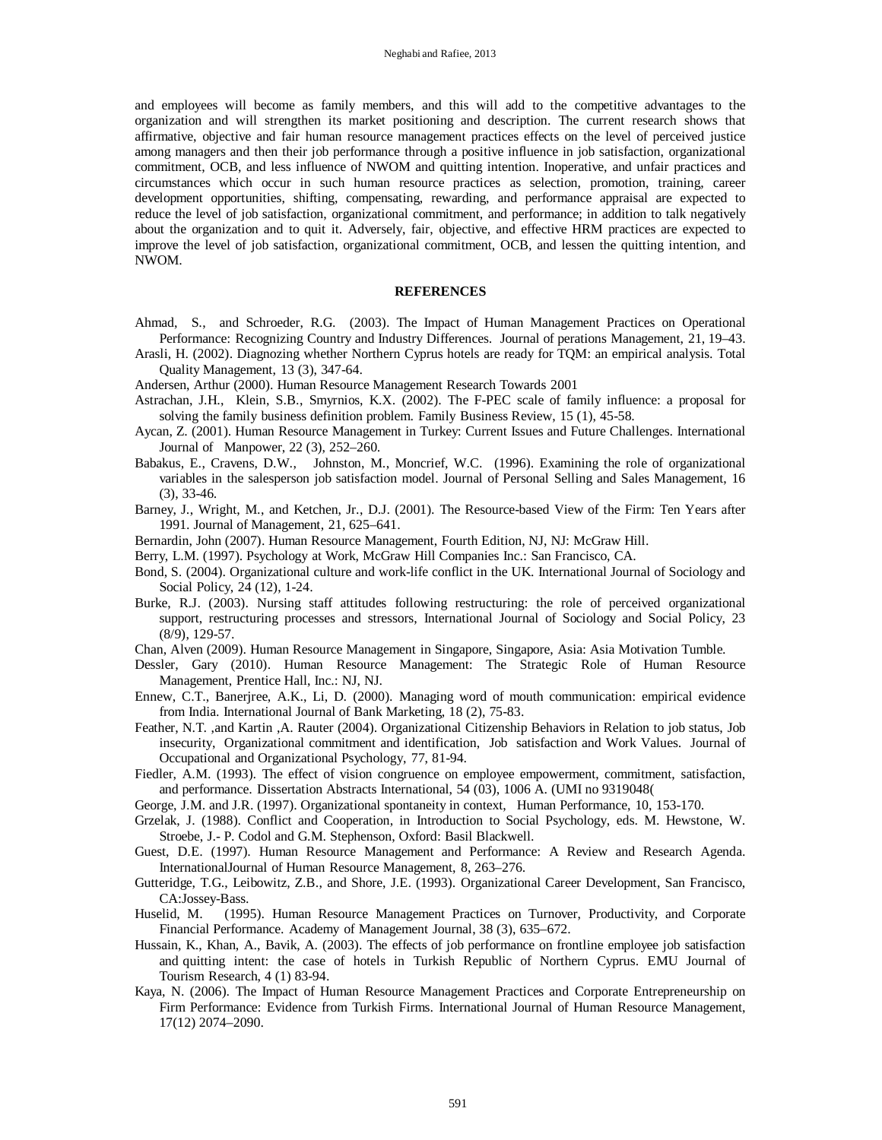and employees will become as family members, and this will add to the competitive advantages to the organization and will strengthen its market positioning and description. The current research shows that affirmative, objective and fair human resource management practices effects on the level of perceived justice among managers and then their job performance through a positive influence in job satisfaction, organizational commitment, OCB, and less influence of NWOM and quitting intention. Inoperative, and unfair practices and circumstances which occur in such human resource practices as selection, promotion, training, career development opportunities, shifting, compensating, rewarding, and performance appraisal are expected to reduce the level of job satisfaction, organizational commitment, and performance; in addition to talk negatively about the organization and to quit it. Adversely, fair, objective, and effective HRM practices are expected to improve the level of job satisfaction, organizational commitment, OCB, and lessen the quitting intention, and NWOM.

# **REFERENCES**

- Ahmad, S., and Schroeder, R.G. (2003). The Impact of Human Management Practices on Operational Performance: Recognizing Country and Industry Differences. Journal of perations Management, 21, 19–43.
- Arasli, H. (2002). Diagnozing whether Northern Cyprus hotels are ready for TQM: an empirical analysis. Total Quality Management, 13 (3), 347-64.
- Andersen, Arthur (2000). Human Resource Management Research Towards 2001
- Astrachan, J.H., Klein, S.B., Smyrnios, K.X. (2002). The F-PEC scale of family influence: a proposal for solving the family business definition problem. Family Business Review, 15 (1), 45-58.
- Aycan, Z. (2001). Human Resource Management in Turkey: Current Issues and Future Challenges. International Journal of Manpower, 22 (3), 252–260.
- Babakus, E., Cravens, D.W., Johnston, M., Moncrief, W.C. (1996). Examining the role of organizational variables in the salesperson job satisfaction model. Journal of Personal Selling and Sales Management, 16 (3), 33-46.
- Barney, J., Wright, M., and Ketchen, Jr., D.J. (2001). The Resource-based View of the Firm: Ten Years after 1991. Journal of Management, 21, 625–641.
- Bernardin, John (2007). Human Resource Management, Fourth Edition, NJ, NJ: McGraw Hill.
- Berry, L.M. (1997). Psychology at Work, McGraw Hill Companies Inc.: San Francisco, CA.
- Bond, S. (2004). Organizational culture and work-life conflict in the UK. International Journal of Sociology and Social Policy, 24 (12), 1-24.
- Burke, R.J. (2003). Nursing staff attitudes following restructuring: the role of perceived organizational support, restructuring processes and stressors, International Journal of Sociology and Social Policy, 23 (8/9), 129-57.
- Chan, Alven (2009). Human Resource Management in Singapore, Singapore, Asia: Asia Motivation Tumble.
- Dessler, Gary (2010). Human Resource Management: The Strategic Role of Human Resource Management, Prentice Hall, Inc.: NJ, NJ.
- Ennew, C.T., Banerjree, A.K., Li, D. (2000). Managing word of mouth communication: empirical evidence from India. International Journal of Bank Marketing, 18 (2), 75-83.
- Feather, N.T. ,and Kartin ,A. Rauter (2004). Organizational Citizenship Behaviors in Relation to job status, Job insecurity, Organizational commitment and identification, Job satisfaction and Work Values. Journal of Occupational and Organizational Psychology, 77, 81-94.
- Fiedler, A.M. (1993). The effect of vision congruence on employee empowerment, commitment, satisfaction, and performance. Dissertation Abstracts International, 54 (03), 1006 A. (UMI no 9319048(
- George, J.M. and J.R. (1997). Organizational spontaneity in context, Human Performance, 10, 153-170.
- Grzelak, J. (1988). Conflict and Cooperation, in Introduction to Social Psychology, eds. M. Hewstone, W. Stroebe, J.- P. Codol and G.M. Stephenson, Oxford: Basil Blackwell.
- Guest, D.E. (1997). Human Resource Management and Performance: A Review and Research Agenda. InternationalJournal of Human Resource Management, 8, 263–276.
- Gutteridge, T.G., Leibowitz, Z.B., and Shore, J.E. (1993). Organizational Career Development, San Francisco, CA:Jossey-Bass.
- Huselid, M. (1995). Human Resource Management Practices on Turnover, Productivity, and Corporate Financial Performance. Academy of Management Journal, 38 (3), 635–672.
- Hussain, K., Khan, A., Bavik, A. (2003). The effects of job performance on frontline employee job satisfaction and quitting intent: the case of hotels in Turkish Republic of Northern Cyprus. EMU Journal of Tourism Research, 4 (1) 83-94.
- Kaya, N. (2006). The Impact of Human Resource Management Practices and Corporate Entrepreneurship on Firm Performance: Evidence from Turkish Firms. International Journal of Human Resource Management, 17(12) 2074–2090.